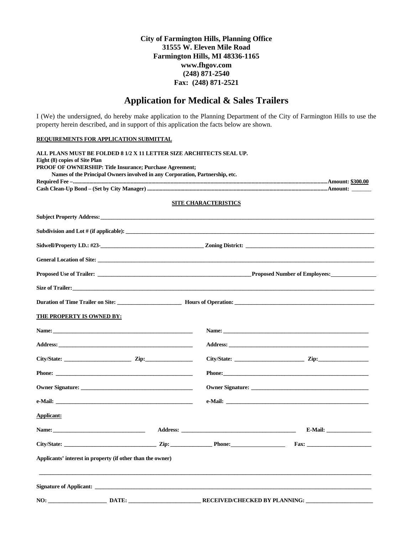**City of Farmington Hills, Planning Office 31555 W. Eleven Mile Road Farmington Hills, MI 48336-1165 www.fhgov.com (248) 871-2540 Fax: (248) 871-2521** 

# **Application for Medical & Sales Trailers**

I (We) the undersigned, do hereby make application to the Planning Department of the City of Farmington Hills to use the property herein described, and in support of this application the facts below are shown.

**REQUIREMENTS FOR APPLICATION SUBMITTAL**

| ALL PLANS MUST BE FOLDED 8 1/2 X 11 LETTER SIZE ARCHITECTS SEAL UP.<br>Eight (8) copies of Site Plan<br><b>PROOF OF OWNERSHIP: Title Insurance; Purchase Agreement;</b> |                                                                              |                             |                                                                                                                                                                                                                               |  |
|-------------------------------------------------------------------------------------------------------------------------------------------------------------------------|------------------------------------------------------------------------------|-----------------------------|-------------------------------------------------------------------------------------------------------------------------------------------------------------------------------------------------------------------------------|--|
|                                                                                                                                                                         | Names of the Principal Owners involved in any Corporation, Partnership, etc. |                             |                                                                                                                                                                                                                               |  |
|                                                                                                                                                                         |                                                                              |                             |                                                                                                                                                                                                                               |  |
|                                                                                                                                                                         |                                                                              | <b>SITE CHARACTERISTICS</b> |                                                                                                                                                                                                                               |  |
|                                                                                                                                                                         |                                                                              |                             |                                                                                                                                                                                                                               |  |
|                                                                                                                                                                         |                                                                              |                             |                                                                                                                                                                                                                               |  |
|                                                                                                                                                                         |                                                                              |                             |                                                                                                                                                                                                                               |  |
|                                                                                                                                                                         |                                                                              |                             | General Location of Site: New York School and School and School and School and School and School and School and School and School and School and School and School and School and School and School and School and School and |  |
|                                                                                                                                                                         |                                                                              |                             |                                                                                                                                                                                                                               |  |
|                                                                                                                                                                         |                                                                              |                             |                                                                                                                                                                                                                               |  |
|                                                                                                                                                                         |                                                                              |                             |                                                                                                                                                                                                                               |  |
| <u>THE PROPERTY IS OWNED BY:</u>                                                                                                                                        |                                                                              |                             |                                                                                                                                                                                                                               |  |
|                                                                                                                                                                         |                                                                              |                             |                                                                                                                                                                                                                               |  |
|                                                                                                                                                                         |                                                                              |                             |                                                                                                                                                                                                                               |  |
|                                                                                                                                                                         |                                                                              |                             |                                                                                                                                                                                                                               |  |
|                                                                                                                                                                         |                                                                              |                             |                                                                                                                                                                                                                               |  |
|                                                                                                                                                                         |                                                                              |                             |                                                                                                                                                                                                                               |  |
|                                                                                                                                                                         |                                                                              |                             |                                                                                                                                                                                                                               |  |
| Applicant:                                                                                                                                                              |                                                                              |                             |                                                                                                                                                                                                                               |  |
|                                                                                                                                                                         |                                                                              |                             | E-Mail:                                                                                                                                                                                                                       |  |
|                                                                                                                                                                         |                                                                              |                             |                                                                                                                                                                                                                               |  |
| Applicants' interest in property (if other than the owner)                                                                                                              |                                                                              |                             |                                                                                                                                                                                                                               |  |
|                                                                                                                                                                         |                                                                              |                             |                                                                                                                                                                                                                               |  |
|                                                                                                                                                                         |                                                                              |                             |                                                                                                                                                                                                                               |  |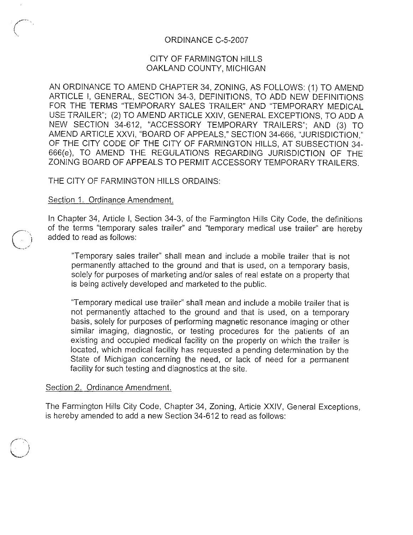# ORDINANCE C-5-2007

# CITY OF FARMINGTON HILLS OAKLAND COUNTY, MICHIGAN

AN ORDINANCE TO AMEND CHAPTER 34, ZONING, AS FOLLOWS: (1) TO AMEND ARTICLE I, GENERAL, SECTION 34-3, DEFINITIONS, TO ADD NEW DEFINITIONS FOR THE TERMS "TEMPORARY SALES TRAILER" AND "TEMPORARY MEDICAL USE TRAILER"; (2) TO AMEND ARTICLE XXIV, GENERAL EXCEPTIONS, TO ADD A NEW SECTION 34-612, "ACCESSORY TEMPORARY TRAILERS"; AND (3) TO AMEND ARTICLE XXVI, "BOARD OF APPEALS," SECTION 34-666, "JURISDICTION," OF THE CITY CODE OF THE CITY OF FARMINGTON HILLS, AT SUBSECTION 34-666(e), TO AMEND THE REGULATIONS REGARDING JURISDICTION OF THE ZONING BOARD OF APPEALS TO PERMIT ACCESSORY TEMPORARY TRAILERS.

## THE CITY OF FARMINGTON HILLS ORDAINS:

## Section 1. Ordinance Amendment.

In Chapter 34, Article I, Section 34-3, of the Farmington Hills City Code, the definitions of the terms "temporary sales trailer" and "temporary medical use trailer" are hereby added to read as follows:

"Temporary sales trailer" shall mean and include a mobile trailer that is not permanently attached to the ground and that is used, on a temporary basis, solely for purposes of marketing and/or sales of real estate on a property that is being actively developed and marketed to the public.

"Temporary medical use trailer" shall mean and include a mobile trailer that is not permanently attached to the ground and that is used, on a temporary basis, solely for purposes of performing magnetic resonance imaging or other similar imaging, diagnostic, or testing procedures for the patients of an existing and occupied medical facility on the property on which the trailer is located, which medical facility has requested a pending determination by the State of Michigan concerning the need, or lack of need for a permanent facility for such testing and diagnostics at the site.

#### Section 2. Ordinance Amendment.

The Farmington Hills City Code, Chapter 34, Zoning, Article XXIV, General Exceptions, is hereby amended to add a new Section 34-612 to read as follows: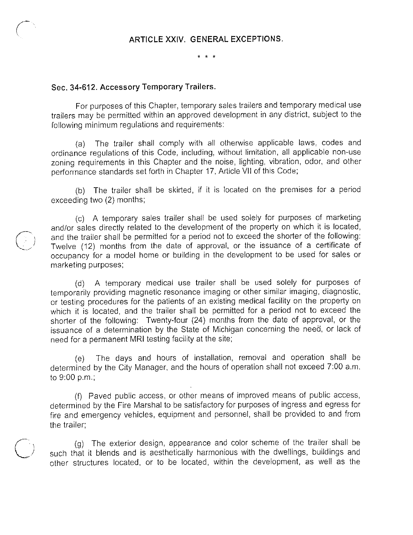$* * *$ 

#### Sec. 34-612. Accessory Temporary Trailers.

For purposes of this Chapter, temporary sales trailers and temporary medical use trailers may be permitted within an approved development in any district, subject to the following minimum regulations and requirements:

The trailer shall comply with all otherwise applicable laws, codes and  $(a)$ ordinance regulations of this Code, including, without limitation, all applicable non-use zoning requirements in this Chapter and the noise, lighting, vibration, odor, and other performance standards set forth in Chapter 17, Article VII of this Code;

(b) The trailer shall be skirted, if it is located on the premises for a period exceeding two (2) months;

(c) A temporary sales trailer shall be used solely for purposes of marketing and/or sales directly related to the development of the property on which it is located, and the trailer shall be permitted for a period not to exceed the shorter of the following: Twelve (12) months from the date of approval, or the issuance of a certificate of occupancy for a model home or building in the development to be used for sales or marketing purposes;

A temporary medical use trailer shall be used solely for purposes of (d) temporarily providing magnetic resonance imaging or other similar imaging, diagnostic, or testing procedures for the patients of an existing medical facility on the property on which it is located, and the trailer shall be permitted for a period not to exceed the shorter of the following: Twenty-four (24) months from the date of approval, or the issuance of a determination by the State of Michigan concerning the need, or lack of need for a permanent MRI testing facility at the site;

The days and hours of installation, removal and operation shall be determined by the City Manager, and the hours of operation shall not exceed 7:00 a.m. to 9:00 p.m.;

(f) Paved public access, or other means of improved means of public access, determined by the Fire Marshal to be satisfactory for purposes of ingress and egress for fire and emergency vehicles, equipment and personnel, shall be provided to and from the trailer

(g) The exterior design, appearance and color scheme of the trailer shall be such that it blends and is aesthetically harmonious with the dwellings, buildings and other structures located, or to be located, within the development, as well as the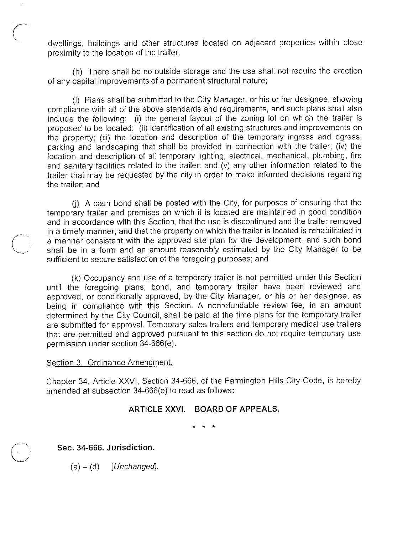dwellings, buildings and other structures located on adjacent properties within close proximity to the location of the trailer;

(h) There shall be no outside storage and the use shall not require the erection of any capital improvements of a permanent structural nature;

(i) Plans shall be submitted to the City Manager, or his or her designee, showing compliance with all of the above standards and requirements, and such plans shall also include the following: (i) the general layout of the zoning lot on which the trailer is proposed to be located; (ii) identification of all existing structures and improvements on the property; (iii) the location and description of the temporary ingress and egress, parking and landscaping that shall be provided in connection with the trailer; (iv) the location and description of all temporary lighting, electrical, mechanical, plumbing, fire and sanitary facilities related to the trailer; and (v) any other information related to the trailer that may be requested by the city in order to make informed decisions regarding the trailer; and

(i) A cash bond shall be posted with the City, for purposes of ensuring that the temporary trailer and premises on which it is located are maintained in good condition and in accordance with this Section, that the use is discontinued and the trailer removed in a timely manner, and that the property on which the trailer is located is rehabilitated in a manner consistent with the approved site plan for the development, and such bond shall be in a form and an amount reasonably estimated by the City Manager to be sufficient to secure satisfaction of the foregoing purposes; and

(k) Occupancy and use of a temporary trailer is not permitted under this Section until the foregoing plans, bond, and temporary trailer have been reviewed and approved, or conditionally approved, by the City Manager, or his or her designee, as being in compliance with this Section. A nonrefundable review fee, in an amount determined by the City Council, shall be paid at the time plans for the temporary trailer are submitted for approval. Temporary sales trailers and temporary medical use trailers that are permitted and approved pursuant to this section do not require temporary use permission under section 34-666(e).

#### Section 3. Ordinance Amendment.

Chapter 34, Article XXVI, Section 34-666, of the Farmington Hills City Code, is hereby amended at subsection 34-666(e) to read as follows:

# ARTICLE XXVI. BOARD OF APPEALS.

Sec. 34-666. Jurisdiction.

 $(a) - (d)$  [*Unchanged*].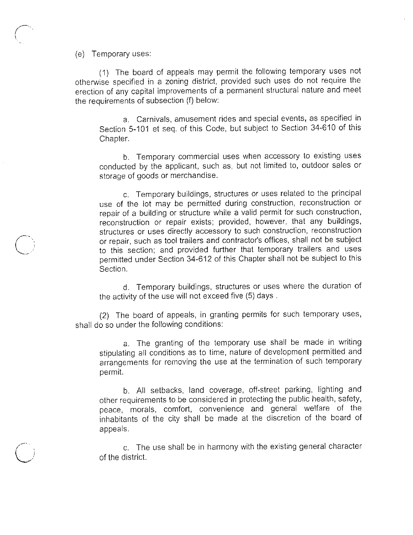(e) Temporary uses:

(1) The board of appeals may permit the following temporary uses not otherwise specified in a zoning district, provided such uses do not require the erection of any capital improvements of a permanent structural nature and meet the requirements of subsection (f) below:

a. Carnivals, amusement rides and special events, as specified in Section 5-101 et seq. of this Code, but subject to Section 34-610 of this Chapter.

b. Temporary commercial uses when accessory to existing uses conducted by the applicant, such as, but not limited to, outdoor sales or storage of goods or merchandise.

c. Temporary buildings, structures or uses related to the principal use of the lot may be permitted during construction, reconstruction or repair of a building or structure while a valid permit for such construction, reconstruction or repair exists; provided, however, that any buildings, structures or uses directly accessory to such construction, reconstruction or repair, such as tool trailers and contractor's offices, shall not be subject to this section; and provided further that temporary trailers and uses permitted under Section 34-612 of this Chapter shall not be subject to this Section.

d. Temporary buildings, structures or uses where the duration of the activity of the use will not exceed five (5) days.

(2) The board of appeals, in granting permits for such temporary uses, shall do so under the following conditions:

a. The granting of the temporary use shall be made in writing stipulating all conditions as to time, nature of development permitted and arrangements for removing the use at the termination of such temporary permit.

b. All setbacks, land coverage, off-street parking, lighting and other requirements to be considered in protecting the public health, safety, peace, morals, comfort, convenience and general welfare of the inhabitants of the city shall be made at the discretion of the board of appeals.

c. The use shall be in harmony with the existing general character of the district.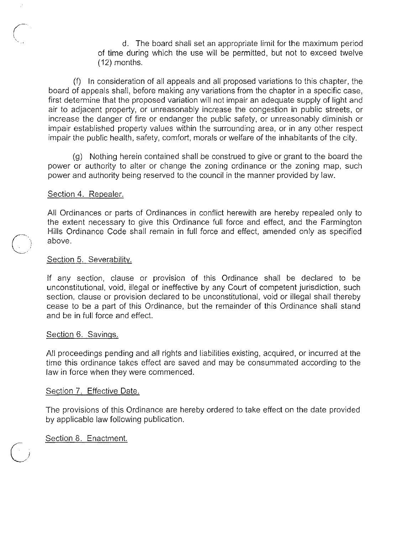d. The board shall set an appropriate limit for the maximum period of time during which the use will be permitted, but not to exceed twelve  $(12)$  months.

(f) In consideration of all appeals and all proposed variations to this chapter, the board of appeals shall, before making any variations from the chapter in a specific case, first determine that the proposed variation will not impair an adequate supply of light and air to adjacent property, or unreasonably increase the congestion in public streets, or increase the danger of fire or endanger the public safety, or unreasonably diminish or impair established property values within the surrounding area, or in any other respect impair the public health, safety, comfort, morals or welfare of the inhabitants of the city.

(g) Nothing herein contained shall be construed to give or grant to the board the power or authority to alter or change the zoning ordinance or the zoning map, such power and authority being reserved to the council in the manner provided by law.

## Section 4. Repealer.

All Ordinances or parts of Ordinances in conflict herewith are hereby repealed only to the extent necessary to give this Ordinance full force and effect, and the Farmington Hills Ordinance Code shall remain in full force and effect, amended only as specified above.

## Section 5. Severability.

If any section, clause or provision of this Ordinance shall be declared to be unconstitutional, void, illegal or ineffective by any Court of competent jurisdiction, such section, clause or provision declared to be unconstitutional, void or illegal shall thereby cease to be a part of this Ordinance, but the remainder of this Ordinance shall stand and be in full force and effect.

#### Section 6. Savings.

All proceedings pending and all rights and liabilities existing, acquired, or incurred at the time this ordinance takes effect are saved and may be consummated according to the law in force when they were commenced.

#### Section 7. Effective Date.

The provisions of this Ordinance are hereby ordered to take effect on the date provided by applicable law following publication.

Section 8. Enactment.